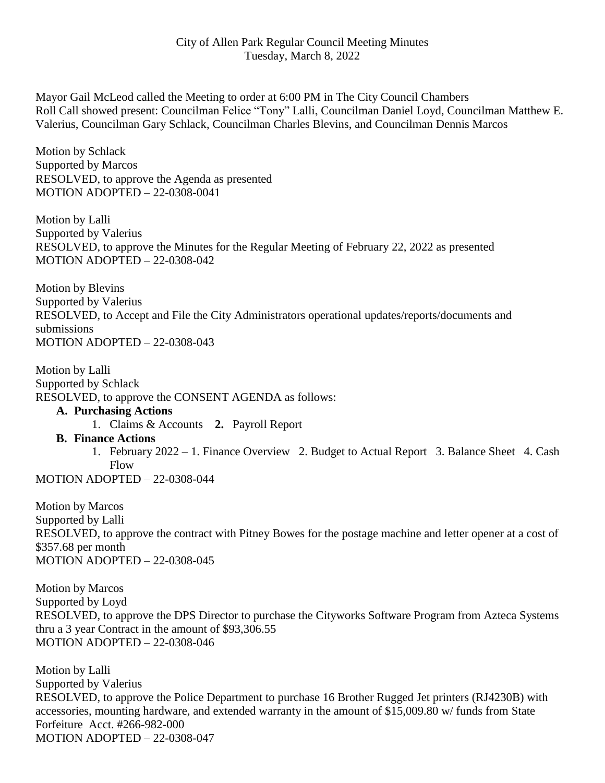Mayor Gail McLeod called the Meeting to order at 6:00 PM in The City Council Chambers Roll Call showed present: Councilman Felice "Tony" Lalli, Councilman Daniel Loyd, Councilman Matthew E. Valerius, Councilman Gary Schlack, Councilman Charles Blevins, and Councilman Dennis Marcos

Motion by Schlack Supported by Marcos RESOLVED, to approve the Agenda as presented MOTION ADOPTED – 22-0308-0041

Motion by Lalli Supported by Valerius RESOLVED, to approve the Minutes for the Regular Meeting of February 22, 2022 as presented MOTION ADOPTED – 22-0308-042

Motion by Blevins Supported by Valerius RESOLVED, to Accept and File the City Administrators operational updates/reports/documents and submissions MOTION ADOPTED – 22-0308-043

Motion by Lalli Supported by Schlack RESOLVED, to approve the CONSENT AGENDA as follows:

## **A. Purchasing Actions**

1. Claims & Accounts **2.** Payroll Report

## **B. Finance Actions**

1. February 2022 – 1. Finance Overview 2. Budget to Actual Report 3. Balance Sheet 4. Cash Flow

MOTION ADOPTED – 22-0308-044

Motion by Marcos Supported by Lalli RESOLVED, to approve the contract with Pitney Bowes for the postage machine and letter opener at a cost of \$357.68 per month MOTION ADOPTED – 22-0308-045

Motion by Marcos Supported by Loyd RESOLVED, to approve the DPS Director to purchase the Cityworks Software Program from Azteca Systems thru a 3 year Contract in the amount of \$93,306.55 MOTION ADOPTED – 22-0308-046

Motion by Lalli Supported by Valerius RESOLVED, to approve the Police Department to purchase 16 Brother Rugged Jet printers (RJ4230B) with accessories, mounting hardware, and extended warranty in the amount of \$15,009.80 w/ funds from State Forfeiture Acct. #266-982-000 MOTION ADOPTED – 22-0308-047